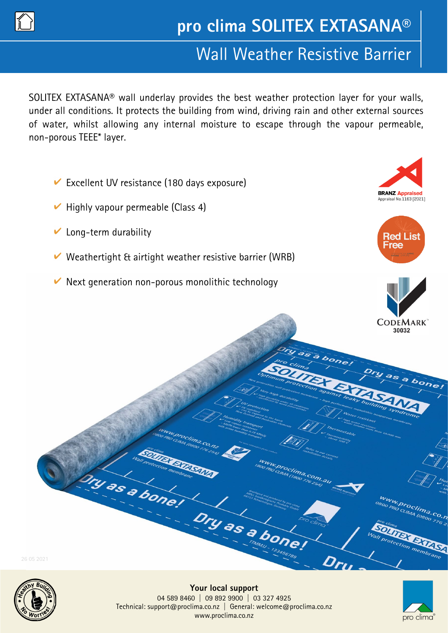

# Wall Weather Resistive Barrier

SOLITEX EXTASANA® wall underlay provides the best weather protection layer for your walls, under all conditions. It protects the building from wind, driving rain and other external sources of water, whilst allowing any internal moisture to escape through the vapour permeable, non-porous TEEE\* layer.